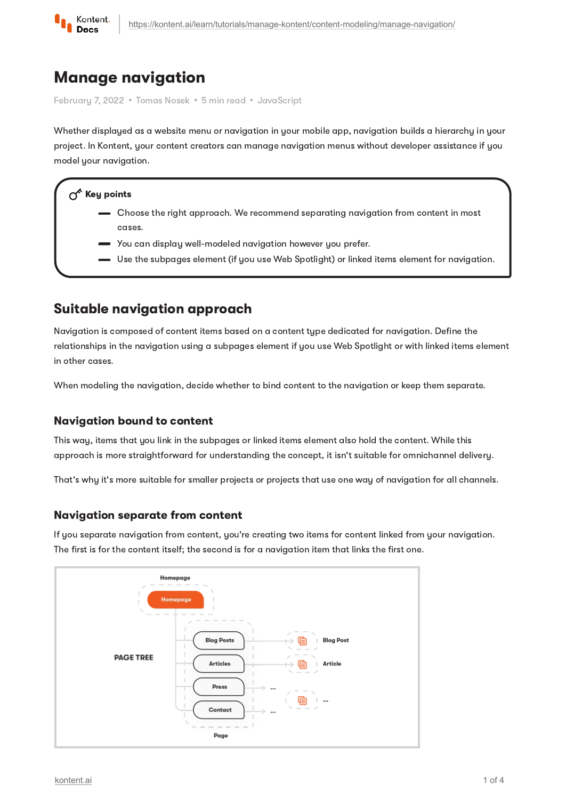

# Manage navigation

Februaru 7, 2022 • Tomas Nosek • 5 min read • JavaScript

Whether displayed as a website menu or navigation in your mobile app, navigation builds a hierarchy in your project. In Kontent, your content creators can manage navigation menus without developer assistance if you model your navigation.

### $\Lambda^k$  Key points

- Choose the right approach. We recommend separating navigation from content in most cases.
- You can display well-modeled navigation however you prefer.
- Use the subpages element (if you use Web Spotlight) or linked items element for navigation.

## Suitable navigation approach

Navigation is composed of content items based on a content type dedicated for navigation. Define the relationships in the navigation using a subpages element if you use Web Spotlight or with linked items element in other cases.

When modeling the navigation, decide whether to bind content to the navigation or keep them separate.

### Navigation bound to content

This way, items that you link in the subpages or linked items element also hold the content. While this approach is more straightforward for understanding the concept, it isn't suitable for omnichannel delivery.

That's why it's more suitable for smaller projects or projects that use one way of navigation for all channels.

### Navigation separate from content

If you separate navigation from content, you're creating two items for content linked from your navigation. The first is for the content itself; the second is for a navigation item that links the first one.

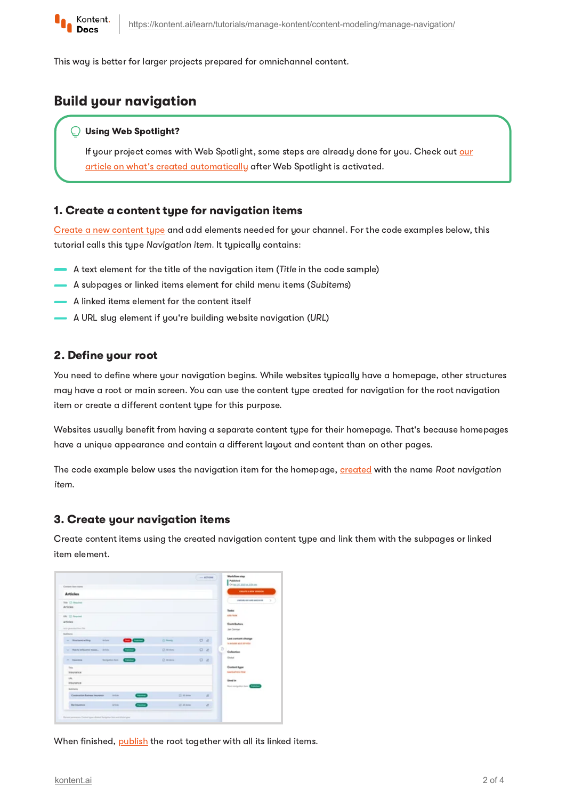

This way is better for larger projects prepared for omnichannel content.

## Build your navigation

#### Using Web Spotlight?

If your project comes with Web Spotlight, some steps are already done for you. Check out our article on what's created [automatically](https://kontent.ai/learn/tutorials/manage-kontent/web-spotlight/set-up-web-spotlight/) after Web Spotlight is activated.

#### 1. Create a content type for navigation items

Create a new [content](https://kontent.ai/learn/tutorials/manage-kontent/content-modeling/create-and-delete-content-types/) type and add elements needed for your channel. For the code examples below, this tutorial calls this type Navigation item. It typically contains:

- A text element for the title of the navigation item (Title in the code sample)
- A subpages or linked items element for child menu items (Subitems)
- A linked items element for the content itself
- A URL slug element if you're building website navigation (URL)

### 2. Define your root

You need to define where your navigation begins. While websites typically have a homepage, other structures may have a root or main screen. You can use the content type created for navigation for the root navigation item or create a different content type for this purpose.

Websites usually benefit from having a separate content type for their homepage. That's because homepages have a unique appearance and contain a different layout and content than on other pages.

The code example below uses the navigation item for the homepage, [created](https://kontent.ai/learn/tutorials/write-and-collaborate/create-content/introducing-content-items/#a-create-content-items) with the name Root navigation item.

#### 3. Create your navigation items

Create content items using the created navigation content type and link them with the subpages or linked item element.

| Contact Sale ident                                               |               |              | Overall and audition                                    |
|------------------------------------------------------------------|---------------|--------------|---------------------------------------------------------|
| <b>Articles</b>                                                  |               |              | CREATE & REW DEBOUW                                     |
| Trial Co Benained<br>Articles                                    |               |              | CRIPOSILIUS AND ADDRESS.<br>Tender                      |
| URL CI Strautech<br>acticies<br>Arts generated New York          |               |              | able failed<br>Contributors<br>Jan Cannon               |
| Sublimina                                                        |               |              |                                                         |
| 88<br>v Bratannielling<br><b>Artists</b>                         | Ci Rosky      | $\Box$ $d$ . | Lest sentent change<br>to access advices vice-          |
| <b>Contract</b><br>ter  Make he will a series masses.  . A first | CT: MT-Bistup | 0d           | 39<br>Culturties                                        |
| <b>Steighter feet Children</b><br>A barrier                      | Cli Milannie  | 04           | <b>Global</b>                                           |
| <b>Total</b><br>Insurance                                        |               |              | Contact type<br><b><i><u>AMPERFER TEN</u></i></b>       |
| 186.<br><b>Insurance</b>                                         |               |              | <b>Used in</b><br><b>Real enrigotion have a company</b> |
| <b>Buildings</b>                                                 |               |              |                                                         |
| <b>Contract</b><br>Construction Business Insurance<br>Artista    | Cl. All done  | $\alpha$     |                                                         |
| <b>Change</b><br><b>Bur Insurance</b><br>Artista                 | GT-All-Avian  | d.           |                                                         |

When finished, [publish](https://kontent.ai/learn/tutorials/write-and-collaborate/publish-your-work/publish-content-items/#a-publishing-a-content-item-with-linked-content-items) the root together with all its linked items.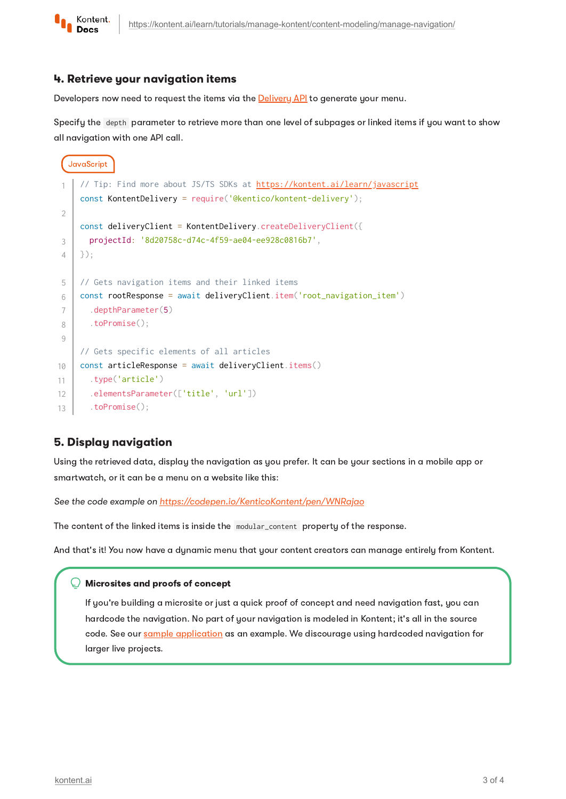

#### 4. Retrieve your navigation items

Developers now need to request the items via the **[Delivery](https://kontent.ai/learn/reference/delivery-api/) API** to generate your menu.

Specify the depth parameter to retrieve more than one level of subpages or linked items if you want to show all navigation with one API call.

```
JavaScript
     https://kontent.ai/learn/javascript
    const KontentDelivery = require('@kentico/kontent-delivery');
    const deliveryClient = KontentDelivery.createDeliveryClient({
       projectId: '8d20758c-d74c-4f59-ae04-ee928c0816b7',
    });
    // Gets navigation items and their linked items
    const rootResponse = await deliveryClient.item('root_navigation_item')
       .depthParameter(5)
       .toPromise();
    // Gets specific elements of all articles
    const articleResponse = await deliveryClient.items()
       .type('article')
       .elementsParameter(['title', 'url'])
       .toPromise();
1
2
3
4
5
6
7
8
9
10
11
12
13
```
### 5. Display navigation

Using the retrieved data, display the navigation as you prefer. It can be your sections in a mobile app or smartwatch, or it can be a menu on a website like this:

See the code example on <https://codepen.io/KenticoKontent/pen/WNRajao>

The content of the linked items is inside the modular\_content property of the response.

And that's it! You now have a dynamic menu that your content creators can manage entirely from Kontent.

#### Microsites and proofs of concept

If you're building a microsite or just a quick proof of concept and need navigation fast, you can hardcode the navigation. No part of your navigation is modeled in Kontent; it's all in the source code. See our sample [application](https://kontent.ai/learn/tutorials/develop-apps/get-started/run-sample-app/?tech=javascript) as an example. We discourage using hardcoded navigation for larger live projects.